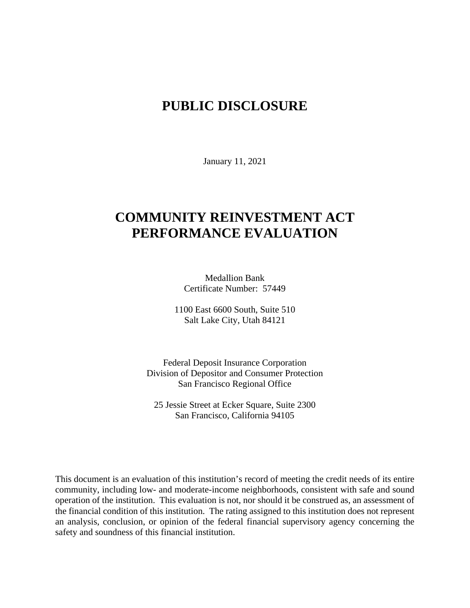# **PUBLIC DISCLOSURE**

January 11, 2021

# **COMMUNITY REINVESTMENT ACT PERFORMANCE EVALUATION**

Medallion Bank Certificate Number: 57449

1100 East 6600 South, Suite 510 Salt Lake City, Utah 84121

Federal Deposit Insurance Corporation Division of Depositor and Consumer Protection San Francisco Regional Office

25 Jessie Street at Ecker Square, Suite 2300 San Francisco, California 94105

This document is an evaluation of this institution's record of meeting the credit needs of its entire community, including low- and moderate-income neighborhoods, consistent with safe and sound operation of the institution.This evaluation is not, nor should it be construed as, an assessment of the financial condition of this institution. The rating assigned to this institution does not represent an analysis, conclusion, or opinion of the federal financial supervisory agency concerning the safety and soundness of this financial institution.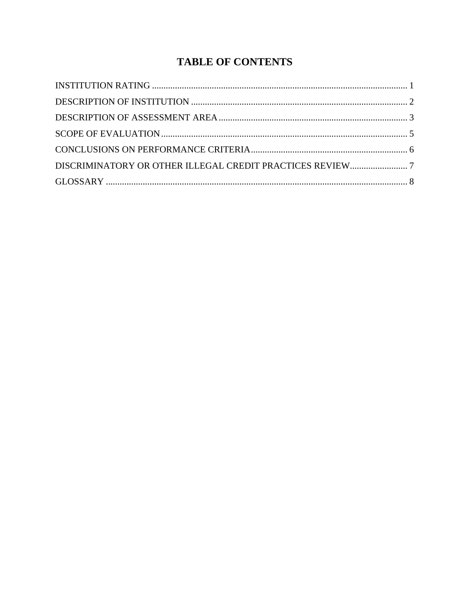# **TABLE OF CONTENTS**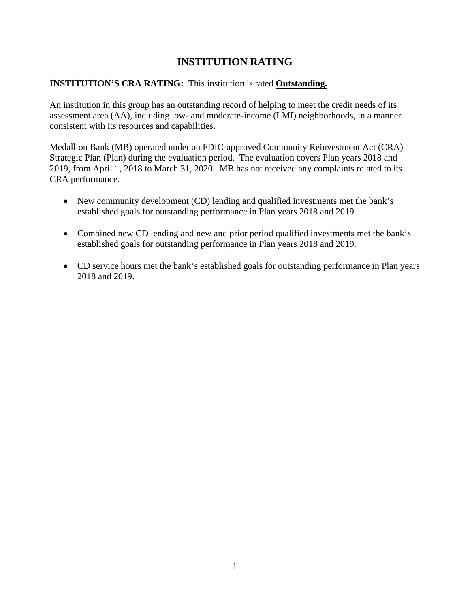## **INSTITUTION RATING**

### <span id="page-2-0"></span>**INSTITUTION'S CRA RATING:** This institution is rated **Outstanding.**

An institution in this group has an outstanding record of helping to meet the credit needs of its assessment area (AA), including low- and moderate-income (LMI) neighborhoods, in a manner consistent with its resources and capabilities.

Medallion Bank (MB) operated under an FDIC-approved Community Reinvestment Act (CRA) Strategic Plan (Plan) during the evaluation period. The evaluation covers Plan years 2018 and 2019, from April 1, 2018 to March 31, 2020. MB has not received any complaints related to its CRA performance.

- New community development (CD) lending and qualified investments met the bank's established goals for outstanding performance in Plan years 2018 and 2019.
- Combined new CD lending and new and prior period qualified investments met the bank's established goals for outstanding performance in Plan years 2018 and 2019.
- CD service hours met the bank's established goals for outstanding performance in Plan years 2018 and 2019.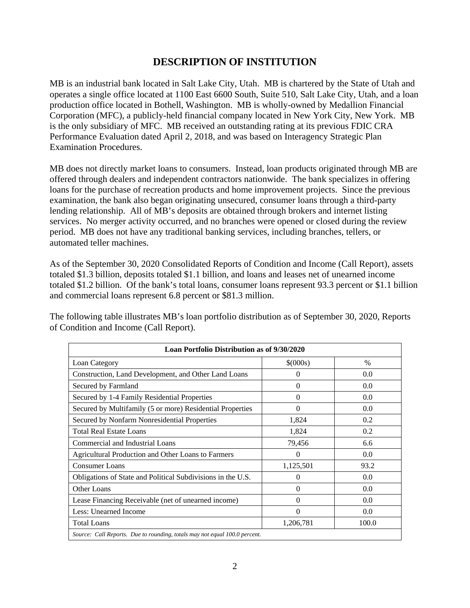## **DESCRIPTION OF INSTITUTION**

<span id="page-3-0"></span>MB is an industrial bank located in Salt Lake City, Utah. MB is chartered by the State of Utah and operates a single office located at 1100 East 6600 South, Suite 510, Salt Lake City, Utah, and a loan production office located in Bothell, Washington. MB is wholly-owned by Medallion Financial Corporation (MFC), a publicly-held financial company located in New York City, New York. MB is the only subsidiary of MFC. MB received an outstanding rating at its previous FDIC CRA Performance Evaluation dated April 2, 2018, and was based on Interagency Strategic Plan Examination Procedures.

MB does not directly market loans to consumers. Instead, loan products originated through MB are offered through dealers and independent contractors nationwide. The bank specializes in offering loans for the purchase of recreation products and home improvement projects. Since the previous examination, the bank also began originating unsecured, consumer loans through a third-party lending relationship. All of MB's deposits are obtained through brokers and internet listing services. No merger activity occurred, and no branches were opened or closed during the review period. MB does not have any traditional banking services, including branches, tellers, or automated teller machines.

As of the September 30, 2020 Consolidated Reports of Condition and Income (Call Report), assets totaled \$1.3 billion, deposits totaled \$1.1 billion, and loans and leases net of unearned income totaled \$1.2 billion. Of the bank's total loans, consumer loans represent 93.3 percent or \$1.1 billion and commercial loans represent 6.8 percent or \$81.3 million.

The following table illustrates MB's loan portfolio distribution as of September 30, 2020, Reports of Condition and Income (Call Report).

| Loan Portfolio Distribution as of 9/30/2020                                |              |       |  |  |  |
|----------------------------------------------------------------------------|--------------|-------|--|--|--|
| Loan Category                                                              | $$^{(000s)}$ | $\%$  |  |  |  |
| Construction, Land Development, and Other Land Loans                       | 0            | 0.0   |  |  |  |
| Secured by Farmland                                                        | $\Omega$     | 0.0   |  |  |  |
| Secured by 1-4 Family Residential Properties                               | $\Omega$     | 0.0   |  |  |  |
| Secured by Multifamily (5 or more) Residential Properties                  | $\Omega$     | 0.0   |  |  |  |
| Secured by Nonfarm Nonresidential Properties                               | 1,824        | 0.2   |  |  |  |
| <b>Total Real Estate Loans</b>                                             | 1,824        | 0.2   |  |  |  |
| Commercial and Industrial Loans                                            | 79,456       | 6.6   |  |  |  |
| Agricultural Production and Other Loans to Farmers                         | $\Omega$     | 0.0   |  |  |  |
| <b>Consumer Loans</b>                                                      | 1,125,501    | 93.2  |  |  |  |
| Obligations of State and Political Subdivisions in the U.S.                | $\Omega$     | 0.0   |  |  |  |
| Other Loans                                                                | $\Omega$     | 0.0   |  |  |  |
| Lease Financing Receivable (net of unearned income)                        | $\Omega$     | 0.0   |  |  |  |
| Less: Unearned Income                                                      | $\Omega$     | 0.0   |  |  |  |
| <b>Total Loans</b>                                                         | 1,206,781    | 100.0 |  |  |  |
| Source: Call Reports. Due to rounding, totals may not equal 100.0 percent. |              |       |  |  |  |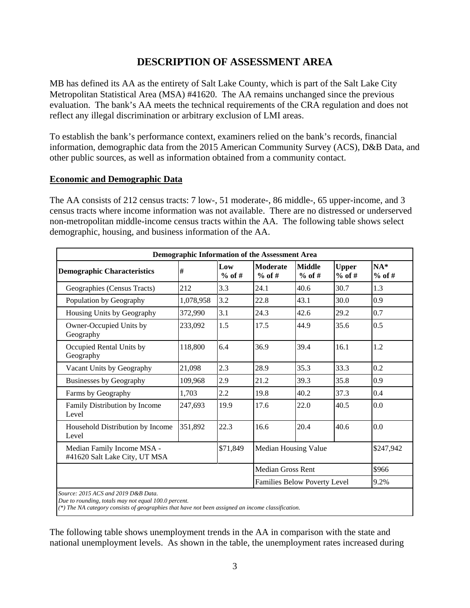## **DESCRIPTION OF ASSESSMENT AREA**

<span id="page-4-0"></span>MB has defined its AA as the entirety of Salt Lake County, which is part of the Salt Lake City Metropolitan Statistical Area (MSA) #41620. The AA remains unchanged since the previous evaluation. The bank's AA meets the technical requirements of the CRA regulation and does not reflect any illegal discrimination or arbitrary exclusion of LMI areas.

To establish the bank's performance context, examiners relied on the bank's records, financial information, demographic data from the 2015 American Community Survey (ACS), D&B Data, and other public sources, as well as information obtained from a community contact.

#### **Economic and Demographic Data**

The AA consists of 212 census tracts: 7 low-, 51 moderate-, 86 middle-, 65 upper-income, and 3 census tracts where income information was not available. There are no distressed or underserved non-metropolitan middle-income census tracts within the AA. The following table shows select demographic, housing, and business information of the AA.

| Demographic Information of the Assessment Area              |           |                 |                              |                           |                          |                   |
|-------------------------------------------------------------|-----------|-----------------|------------------------------|---------------------------|--------------------------|-------------------|
| <b>Demographic Characteristics</b>                          | #         | Low<br>$%$ of # | <b>Moderate</b><br>$%$ of #  | <b>Middle</b><br>$%$ of # | <b>Upper</b><br>$%$ of # | $NA*$<br>$%$ of # |
| Geographies (Census Tracts)                                 | 212       | 3.3             | 24.1                         | 40.6                      | 30.7                     | 1.3               |
| Population by Geography                                     | 1,078,958 | 3.2             | 22.8                         | 43.1                      | 30.0                     | 0.9               |
| Housing Units by Geography                                  | 372,990   | 3.1             | 24.3                         | 42.6                      | 29.2                     | 0.7               |
| Owner-Occupied Units by<br>Geography                        | 233,092   | 1.5             | 17.5                         | 44.9                      | 35.6                     | 0.5               |
| Occupied Rental Units by<br>Geography                       | 118,800   | 6.4             | 36.9                         | 39.4                      | 16.1                     | 1.2               |
| Vacant Units by Geography                                   | 21,098    | 2.3             | 28.9                         | 35.3                      | 33.3                     | 0.2               |
| <b>Businesses by Geography</b>                              | 109,968   | 2.9             | 21.2                         | 39.3                      | 35.8                     | 0.9               |
| Farms by Geography                                          | 1,703     | 2.2             | 19.8                         | 40.2                      | 37.3                     | 0.4               |
| Family Distribution by Income<br>Level                      | 247,693   | 19.9            | 17.6                         | 22.0                      | 40.5                     | 0.0               |
| Household Distribution by Income<br>Level                   | 351,892   | 22.3            | 16.6                         | 20.4                      | 40.6                     | 0.0               |
| Median Family Income MSA -<br>#41620 Salt Lake City, UT MSA |           | \$71,849        | Median Housing Value         |                           |                          | \$247,942         |
|                                                             |           |                 | <b>Median Gross Rent</b>     |                           |                          | \$966             |
|                                                             |           |                 | Families Below Poverty Level |                           |                          | 9.2%              |

The following table shows unemployment trends in the AA in comparison with the state and national unemployment levels. As shown in the table, the unemployment rates increased during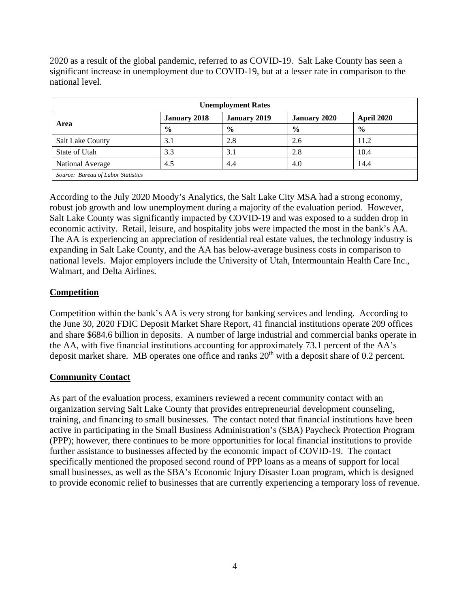2020 as a result of the global pandemic, referred to as COVID-19. Salt Lake County has seen a significant increase in unemployment due to COVID-19, but at a lesser rate in comparison to the national level.

| <b>Unemployment Rates</b>          |                                            |               |                     |                   |  |
|------------------------------------|--------------------------------------------|---------------|---------------------|-------------------|--|
|                                    | <b>January 2018</b><br><b>January 2019</b> |               | <b>January 2020</b> | <b>April 2020</b> |  |
| Area                               | $\frac{0}{0}$                              | $\frac{0}{0}$ | $\frac{6}{9}$       | $\frac{0}{0}$     |  |
| <b>Salt Lake County</b>            | 3.1                                        | 2.8           | 2.6                 | 11.2              |  |
| State of Utah                      | 3.3                                        | 3.1           | 2.8                 | 10.4              |  |
| National Average                   | 4.5                                        | 4.4           | 4.0                 | 14.4              |  |
| Source: Bureau of Labor Statistics |                                            |               |                     |                   |  |

According to the July 2020 Moody's Analytics, the Salt Lake City MSA had a strong economy, robust job growth and low unemployment during a majority of the evaluation period. However, Salt Lake County was significantly impacted by COVID-19 and was exposed to a sudden drop in economic activity. Retail, leisure, and hospitality jobs were impacted the most in the bank's AA. The AA is experiencing an appreciation of residential real estate values, the technology industry is expanding in Salt Lake County, and the AA has below-average business costs in comparison to national levels. Major employers include the University of Utah, Intermountain Health Care Inc., Walmart, and Delta Airlines.

### **Competition**

Competition within the bank's AA is very strong for banking services and lending. According to the June 30, 2020 FDIC Deposit Market Share Report, 41 financial institutions operate 209 offices and share \$684.6 billion in deposits. A number of large industrial and commercial banks operate in the AA, with five financial institutions accounting for approximately 73.1 percent of the AA's deposit market share. MB operates one office and ranks  $20<sup>th</sup>$  with a deposit share of 0.2 percent.

### **Community Contact**

As part of the evaluation process, examiners reviewed a recent community contact with an organization serving Salt Lake County that provides entrepreneurial development counseling, training, and financing to small businesses. The contact noted that financial institutions have been active in participating in the Small Business Administration's (SBA) Paycheck Protection Program (PPP); however, there continues to be more opportunities for local financial institutions to provide further assistance to businesses affected by the economic impact of COVID-19. The contact specifically mentioned the proposed second round of PPP loans as a means of support for local small businesses, as well as the SBA's Economic Injury Disaster Loan program, which is designed to provide economic relief to businesses that are currently experiencing a temporary loss of revenue.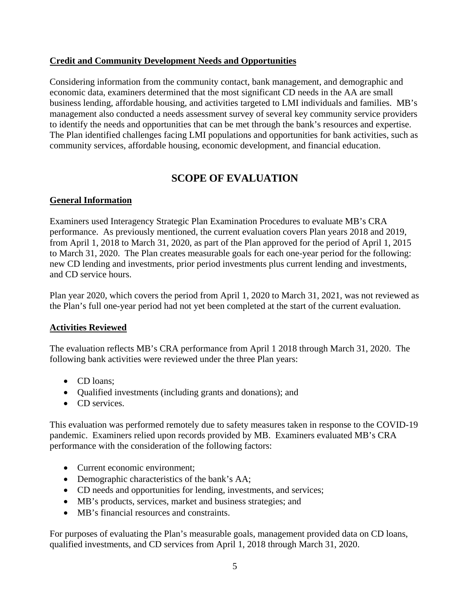### **Credit and Community Development Needs and Opportunities**

Considering information from the community contact, bank management, and demographic and economic data, examiners determined that the most significant CD needs in the AA are small business lending, affordable housing, and activities targeted to LMI individuals and families. MB's management also conducted a needs assessment survey of several key community service providers to identify the needs and opportunities that can be met through the bank's resources and expertise. The Plan identified challenges facing LMI populations and opportunities for bank activities, such as community services, affordable housing, economic development, and financial education.

# **SCOPE OF EVALUATION**

### <span id="page-6-0"></span>**General Information**

Examiners used Interagency Strategic Plan Examination Procedures to evaluate MB's CRA performance. As previously mentioned, the current evaluation covers Plan years 2018 and 2019, from April 1, 2018 to March 31, 2020, as part of the Plan approved for the period of April 1, 2015 to March 31, 2020. The Plan creates measurable goals for each one-year period for the following: new CD lending and investments, prior period investments plus current lending and investments, and CD service hours.

Plan year 2020, which covers the period from April 1, 2020 to March 31, 2021, was not reviewed as the Plan's full one-year period had not yet been completed at the start of the current evaluation.

### **Activities Reviewed**

The evaluation reflects MB's CRA performance from April 1 2018 through March 31, 2020. The following bank activities were reviewed under the three Plan years:

- CD loans:
- Qualified investments (including grants and donations); and
- CD services.

This evaluation was performed remotely due to safety measures taken in response to the COVID-19 pandemic. Examiners relied upon records provided by MB. Examiners evaluated MB's CRA performance with the consideration of the following factors:

- Current economic environment;
- Demographic characteristics of the bank's AA;
- CD needs and opportunities for lending, investments, and services;
- MB's products, services, market and business strategies; and
- MB's financial resources and constraints.

For purposes of evaluating the Plan's measurable goals, management provided data on CD loans, qualified investments, and CD services from April 1, 2018 through March 31, 2020.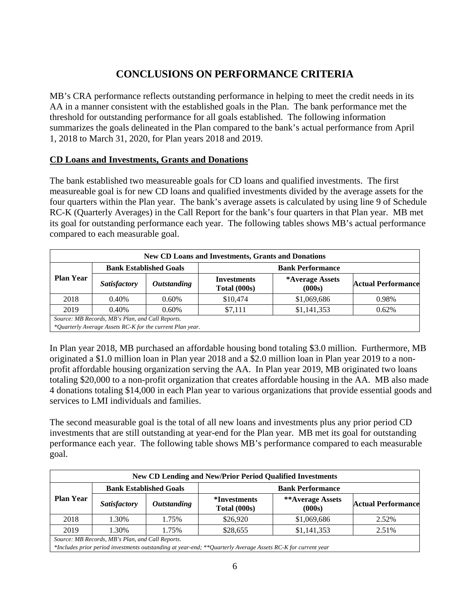# **CONCLUSIONS ON PERFORMANCE CRITERIA**

<span id="page-7-0"></span>MB's CRA performance reflects outstanding performance in helping to meet the credit needs in its AA in a manner consistent with the established goals in the Plan. The bank performance met the threshold for outstanding performance for all goals established. The following information summarizes the goals delineated in the Plan compared to the bank's actual performance from April 1, 2018 to March 31, 2020, for Plan years 2018 and 2019.

### **CD Loans and Investments, Grants and Donations**

The bank established two measureable goals for CD loans and qualified investments. The first measureable goal is for new CD loans and qualified investments divided by the average assets for the four quarters within the Plan year. The bank's average assets is calculated by using line 9 of Schedule RC-K (Quarterly Averages) in the Call Report for the bank's four quarters in that Plan year. MB met its goal for outstanding performance each year. The following tables shows MB's actual performance compared to each measurable goal.

| <b>New CD Loans and Investments, Grants and Donations</b> |                               |                           |                                    |                           |                           |  |
|-----------------------------------------------------------|-------------------------------|---------------------------|------------------------------------|---------------------------|---------------------------|--|
|                                                           | <b>Bank Established Goals</b> |                           | <b>Bank Performance</b>            |                           |                           |  |
| <b>Plan Year</b>                                          | <b>Satisfactory</b>           | <i><b>Outstanding</b></i> | <b>Investments</b><br>Total (000s) | *Average Assets<br>(000s) | <b>Actual Performance</b> |  |
| 2018                                                      | 0.40%                         | 0.60%                     | \$10,474                           | \$1,069,686               | 0.98%                     |  |
| 2019                                                      | 0.40%                         | 0.60%                     | \$7,111                            | \$1,141,353               | 0.62%                     |  |
| Source: MB Records, MB's Plan, and Call Reports.          |                               |                           |                                    |                           |                           |  |
| *Quarterly Average Assets RC-K for the current Plan year. |                               |                           |                                    |                           |                           |  |

In Plan year 2018, MB purchased an affordable housing bond totaling \$3.0 million. Furthermore, MB originated a \$1.0 million loan in Plan year 2018 and a \$2.0 million loan in Plan year 2019 to a nonprofit affordable housing organization serving the AA. In Plan year 2019, MB originated two loans totaling \$20,000 to a non-profit organization that creates affordable housing in the AA. MB also made 4 donations totaling \$14,000 in each Plan year to various organizations that provide essential goods and services to LMI individuals and families.

The second measurable goal is the total of all new loans and investments plus any prior period CD investments that are still outstanding at year-end for the Plan year. MB met its goal for outstanding performance each year. The following table shows MB's performance compared to each measurable goal.

| <b>New CD Lending and New/Prior Period Qualified Investments</b> |                     |                           |                                     |                            |                           |
|------------------------------------------------------------------|---------------------|---------------------------|-------------------------------------|----------------------------|---------------------------|
| <b>Bank Established Goals</b><br><b>Bank Performance</b>         |                     |                           |                                     |                            |                           |
| <b>Plan Year</b>                                                 | <b>Satisfactory</b> | <i><b>Outstanding</b></i> | <i>*Investments</i><br>Total (000s) | **Average Assets<br>(000s) | <b>Actual Performance</b> |
| 2018                                                             | 1.30%               | 1.75%                     | \$26,920                            | \$1,069,686                | 2.52%                     |
| 2019                                                             | 1.30%               | 1.75%                     | \$28,655                            | \$1,141,353                | 2.51%                     |
| Source: MB Records, MB's Plan, and Call Reports.                 |                     |                           |                                     |                            |                           |

*\*Includes prior period investments outstanding at year-end; \*\*Quarterly Average Assets RC-K for current year*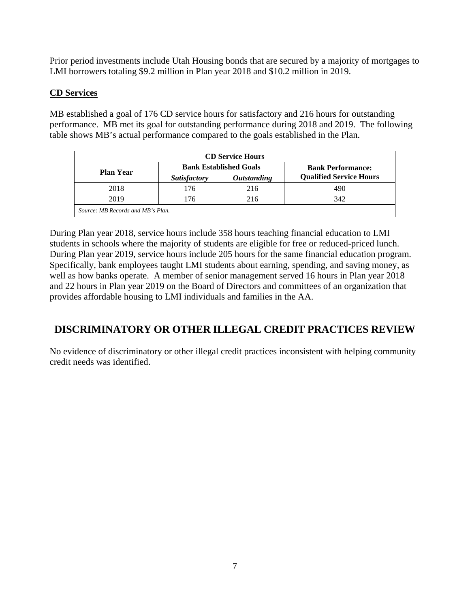Prior period investments include Utah Housing bonds that are secured by a majority of mortgages to LMI borrowers totaling \$9.2 million in Plan year 2018 and \$10.2 million in 2019.

### **CD Services**

MB established a goal of 176 CD service hours for satisfactory and 216 hours for outstanding performance. MB met its goal for outstanding performance during 2018 and 2019. The following table shows MB's actual performance compared to the goals established in the Plan.

| <b>CD Service Hours</b>           |                     |                               |                                |  |  |
|-----------------------------------|---------------------|-------------------------------|--------------------------------|--|--|
| <b>Plan Year</b>                  |                     | <b>Bank Established Goals</b> | <b>Bank Performance:</b>       |  |  |
|                                   | <b>Satisfactory</b> | <i><b>Outstanding</b></i>     | <b>Qualified Service Hours</b> |  |  |
| 2018                              | 176                 | 216                           | 490                            |  |  |
| 2019                              | 176                 | 216                           | 342                            |  |  |
| Source: MB Records and MB's Plan. |                     |                               |                                |  |  |

During Plan year 2018, service hours include 358 hours teaching financial education to LMI students in schools where the majority of students are eligible for free or reduced-priced lunch. During Plan year 2019, service hours include 205 hours for the same financial education program. Specifically, bank employees taught LMI students about earning, spending, and saving money, as well as how banks operate. A member of senior management served 16 hours in Plan year 2018 and 22 hours in Plan year 2019 on the Board of Directors and committees of an organization that provides affordable housing to LMI individuals and families in the AA.

## <span id="page-8-0"></span>**DISCRIMINATORY OR OTHER ILLEGAL CREDIT PRACTICES REVIEW**

No evidence of discriminatory or other illegal credit practices inconsistent with helping community credit needs was identified.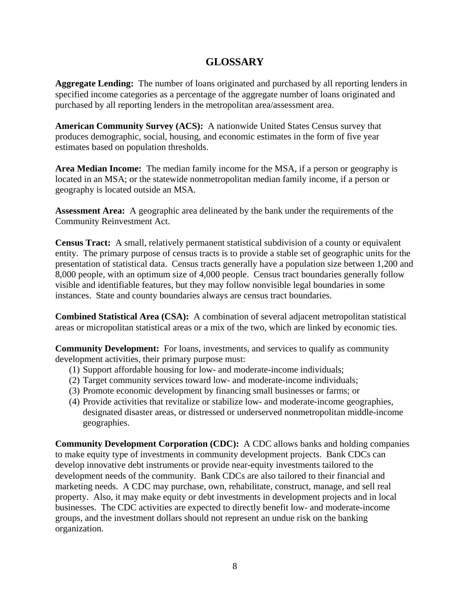## **GLOSSARY**

<span id="page-9-0"></span>**Aggregate Lending:** The number of loans originated and purchased by all reporting lenders in specified income categories as a percentage of the aggregate number of loans originated and purchased by all reporting lenders in the metropolitan area/assessment area.

**American Community Survey (ACS):** A nationwide United States Census survey that produces demographic, social, housing, and economic estimates in the form of five year estimates based on population thresholds.

**Area Median Income:** The median family income for the MSA, if a person or geography is located in an MSA; or the statewide nonmetropolitan median family income, if a person or geography is located outside an MSA*.*

**Assessment Area:** A geographic area delineated by the bank under the requirements of the Community Reinvestment Act.

**Census Tract:** A small, relatively permanent statistical subdivision of a county or equivalent entity. The primary purpose of census tracts is to provide a stable set of geographic units for the presentation of statistical data. Census tracts generally have a population size between 1,200 and 8,000 people, with an optimum size of 4,000 people. Census tract boundaries generally follow visible and identifiable features, but they may follow nonvisible legal boundaries in some instances. State and county boundaries always are census tract boundaries.

**Combined Statistical Area (CSA):** A combination of several adjacent metropolitan statistical areas or micropolitan statistical areas or a mix of the two, which are linked by economic ties.

**Community Development:** For loans, investments, and services to qualify as community development activities, their primary purpose must:

- (1) Support affordable housing for low- and moderate-income individuals;
- (2) Target community services toward low- and moderate-income individuals;
- (3) Promote economic development by financing small businesses or farms; or
- (4) Provide activities that revitalize or stabilize low- and moderate-income geographies, designated disaster areas, or distressed or underserved nonmetropolitan middle-income geographies.

**Community Development Corporation (CDC):** A CDC allows banks and holding companies to make equity type of investments in community development projects. Bank CDCs can develop innovative debt instruments or provide near-equity investments tailored to the development needs of the community. Bank CDCs are also tailored to their financial and marketing needs. A CDC may purchase, own, rehabilitate, construct, manage, and sell real property. Also, it may make equity or debt investments in development projects and in local businesses. The CDC activities are expected to directly benefit low- and moderate-income groups, and the investment dollars should not represent an undue risk on the banking organization.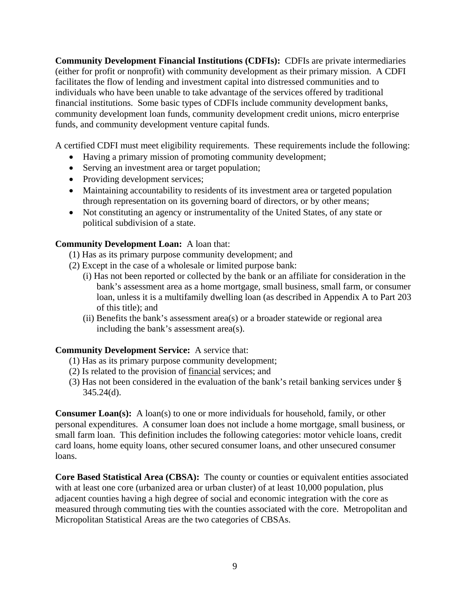**Community Development Financial Institutions (CDFIs):** CDFIs are private intermediaries (either for profit or nonprofit) with community development as their primary mission. A CDFI facilitates the flow of lending and investment capital into distressed communities and to individuals who have been unable to take advantage of the services offered by traditional financial institutions. Some basic types of CDFIs include community development banks, community development loan funds, community development credit unions, micro enterprise funds, and community development venture capital funds.

A certified CDFI must meet eligibility requirements. These requirements include the following:

- Having a primary mission of promoting community development;
- Serving an investment area or target population;
- Providing development services;
- Maintaining accountability to residents of its investment area or targeted population through representation on its governing board of directors, or by other means;
- Not constituting an agency or instrumentality of the United States, of any state or political subdivision of a state.

### **Community Development Loan:** A loan that:

- (1) Has as its primary purpose community development; and
- (2) Except in the case of a wholesale or limited purpose bank:
	- (i) Has not been reported or collected by the bank or an affiliate for consideration in the bank's assessment area as a home mortgage, small business, small farm, or consumer loan, unless it is a multifamily dwelling loan (as described in Appendix A to Part 203 of this title); and
	- (ii) Benefits the bank's assessment area(s) or a broader statewide or regional area including the bank's assessment area(s).

### **Community Development Service:** A service that:

- (1) Has as its primary purpose community development;
- (2) Is related to the provision of financial services; and
- (3) Has not been considered in the evaluation of the bank's retail banking services under §  $345.24(d)$ .

**Consumer Loan(s):** A loan(s) to one or more individuals for household, family, or other personal expenditures. A consumer loan does not include a home mortgage, small business, or small farm loan. This definition includes the following categories: motor vehicle loans, credit card loans, home equity loans, other secured consumer loans, and other unsecured consumer loans.

**Core Based Statistical Area (CBSA):** The county or counties or equivalent entities associated with at least one core (urbanized area or urban cluster) of at least 10,000 population, plus adjacent counties having a high degree of social and economic integration with the core as measured through commuting ties with the counties associated with the core. Metropolitan and Micropolitan Statistical Areas are the two categories of CBSAs.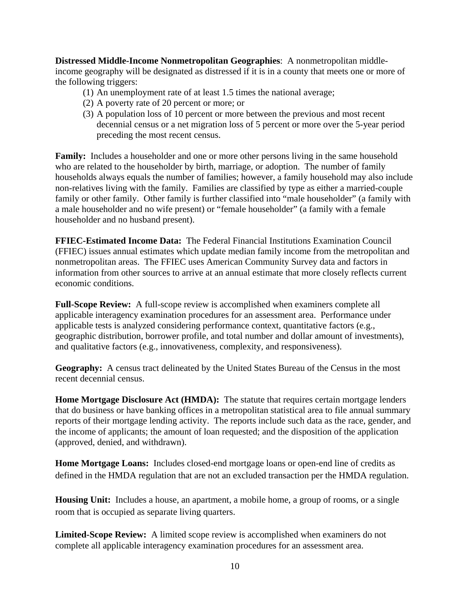**Distressed Middle-Income Nonmetropolitan Geographies**: A nonmetropolitan middleincome geography will be designated as distressed if it is in a county that meets one or more of the following triggers:

- (1) An unemployment rate of at least 1.5 times the national average;
- (2) A poverty rate of 20 percent or more; or
- (3) A population loss of 10 percent or more between the previous and most recent decennial census or a net migration loss of 5 percent or more over the 5-year period preceding the most recent census.

**Family:** Includes a householder and one or more other persons living in the same household who are related to the householder by birth, marriage, or adoption. The number of family households always equals the number of families; however, a family household may also include non-relatives living with the family. Families are classified by type as either a married-couple family or other family. Other family is further classified into "male householder" (a family with a male householder and no wife present) or "female householder" (a family with a female householder and no husband present).

**FFIEC-Estimated Income Data:** The Federal Financial Institutions Examination Council (FFIEC) issues annual estimates which update median family income from the metropolitan and nonmetropolitan areas. The FFIEC uses American Community Survey data and factors in information from other sources to arrive at an annual estimate that more closely reflects current economic conditions.

**Full-Scope Review:** A full-scope review is accomplished when examiners complete all applicable interagency examination procedures for an assessment area. Performance under applicable tests is analyzed considering performance context, quantitative factors (e.g., geographic distribution, borrower profile, and total number and dollar amount of investments), and qualitative factors (e.g., innovativeness, complexity, and responsiveness).

**Geography:** A census tract delineated by the United States Bureau of the Census in the most recent decennial census.

**Home Mortgage Disclosure Act (HMDA):** The statute that requires certain mortgage lenders that do business or have banking offices in a metropolitan statistical area to file annual summary reports of their mortgage lending activity. The reports include such data as the race, gender, and the income of applicants; the amount of loan requested; and the disposition of the application (approved, denied, and withdrawn).

**Home Mortgage Loans:** Includes closed-end mortgage loans or open-end line of credits as defined in the HMDA regulation that are not an excluded transaction per the HMDA regulation.

**Housing Unit:** Includes a house, an apartment, a mobile home, a group of rooms, or a single room that is occupied as separate living quarters.

**Limited-Scope Review:** A limited scope review is accomplished when examiners do not complete all applicable interagency examination procedures for an assessment area.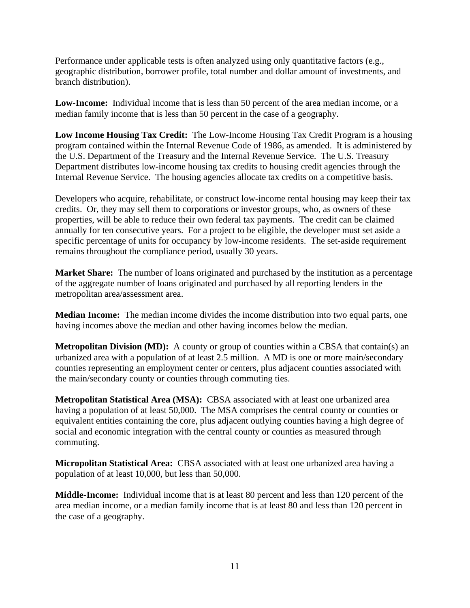Performance under applicable tests is often analyzed using only quantitative factors (e.g., geographic distribution, borrower profile, total number and dollar amount of investments, and branch distribution).

Low-Income: Individual income that is less than 50 percent of the area median income, or a median family income that is less than 50 percent in the case of a geography.

**Low Income Housing Tax Credit:** The Low-Income Housing Tax Credit Program is a housing program contained within the Internal Revenue Code of 1986, as amended. It is administered by the U.S. Department of the Treasury and the Internal Revenue Service. The U.S. Treasury Department distributes low-income housing tax credits to housing credit agencies through the Internal Revenue Service. The housing agencies allocate tax credits on a competitive basis.

Developers who acquire, rehabilitate, or construct low-income rental housing may keep their tax credits. Or, they may sell them to corporations or investor groups, who, as owners of these properties, will be able to reduce their own federal tax payments. The credit can be claimed annually for ten consecutive years. For a project to be eligible, the developer must set aside a specific percentage of units for occupancy by low-income residents. The set-aside requirement remains throughout the compliance period, usually 30 years.

**Market Share:** The number of loans originated and purchased by the institution as a percentage of the aggregate number of loans originated and purchased by all reporting lenders in the metropolitan area/assessment area.

**Median Income:** The median income divides the income distribution into two equal parts, one having incomes above the median and other having incomes below the median.

**Metropolitan Division (MD):** A county or group of counties within a CBSA that contain(s) an urbanized area with a population of at least 2.5 million. A MD is one or more main/secondary counties representing an employment center or centers, plus adjacent counties associated with the main/secondary county or counties through commuting ties.

**Metropolitan Statistical Area (MSA):** CBSA associated with at least one urbanized area having a population of at least 50,000. The MSA comprises the central county or counties or equivalent entities containing the core, plus adjacent outlying counties having a high degree of social and economic integration with the central county or counties as measured through commuting.

**Micropolitan Statistical Area:** CBSA associated with at least one urbanized area having a population of at least 10,000, but less than 50,000.

**Middle-Income:** Individual income that is at least 80 percent and less than 120 percent of the area median income, or a median family income that is at least 80 and less than 120 percent in the case of a geography.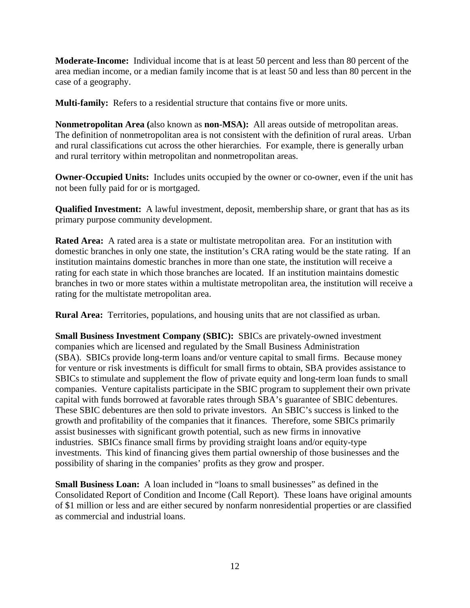**Moderate-Income:** Individual income that is at least 50 percent and less than 80 percent of the area median income, or a median family income that is at least 50 and less than 80 percent in the case of a geography.

**Multi-family:** Refers to a residential structure that contains five or more units.

**Nonmetropolitan Area (**also known as **non-MSA):** All areas outside of metropolitan areas. The definition of nonmetropolitan area is not consistent with the definition of rural areas. Urban and rural classifications cut across the other hierarchies. For example, there is generally urban and rural territory within metropolitan and nonmetropolitan areas.

**Owner-Occupied Units:** Includes units occupied by the owner or co-owner, even if the unit has not been fully paid for or is mortgaged.

**Qualified Investment:** A lawful investment, deposit, membership share, or grant that has as its primary purpose community development.

**Rated Area:** A rated area is a state or multistate metropolitan area. For an institution with domestic branches in only one state, the institution's CRA rating would be the state rating. If an institution maintains domestic branches in more than one state, the institution will receive a rating for each state in which those branches are located. If an institution maintains domestic branches in two or more states within a multistate metropolitan area, the institution will receive a rating for the multistate metropolitan area.

**Rural Area:** Territories, populations, and housing units that are not classified as urban.

**Small Business Investment Company (SBIC):** SBICs are privately-owned investment companies which are licensed and regulated by the Small Business Administration (SBA). SBICs provide long-term loans and/or venture capital to small firms. Because money for venture or risk investments is difficult for small firms to obtain, SBA provides assistance to SBICs to stimulate and supplement the flow of private equity and long-term loan funds to small companies. Venture capitalists participate in the SBIC program to supplement their own private capital with funds borrowed at favorable rates through SBA's guarantee of SBIC debentures. These SBIC debentures are then sold to private investors. An SBIC's success is linked to the growth and profitability of the companies that it finances. Therefore, some SBICs primarily assist businesses with significant growth potential, such as new firms in innovative industries. SBICs finance small firms by providing straight loans and/or equity-type investments. This kind of financing gives them partial ownership of those businesses and the possibility of sharing in the companies' profits as they grow and prosper.

**Small Business Loan:** A loan included in "loans to small businesses" as defined in the Consolidated Report of Condition and Income (Call Report). These loans have original amounts of \$1 million or less and are either secured by nonfarm nonresidential properties or are classified as commercial and industrial loans.